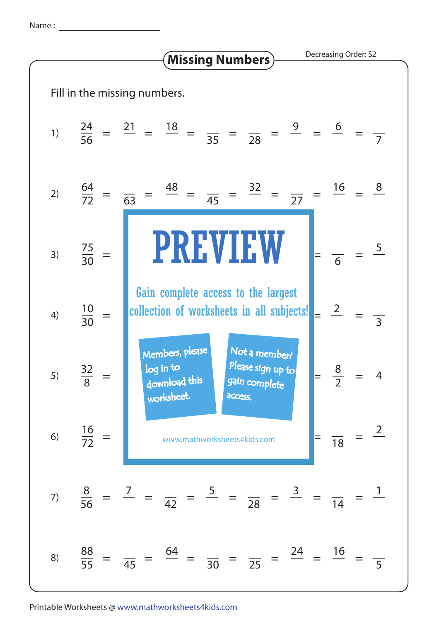